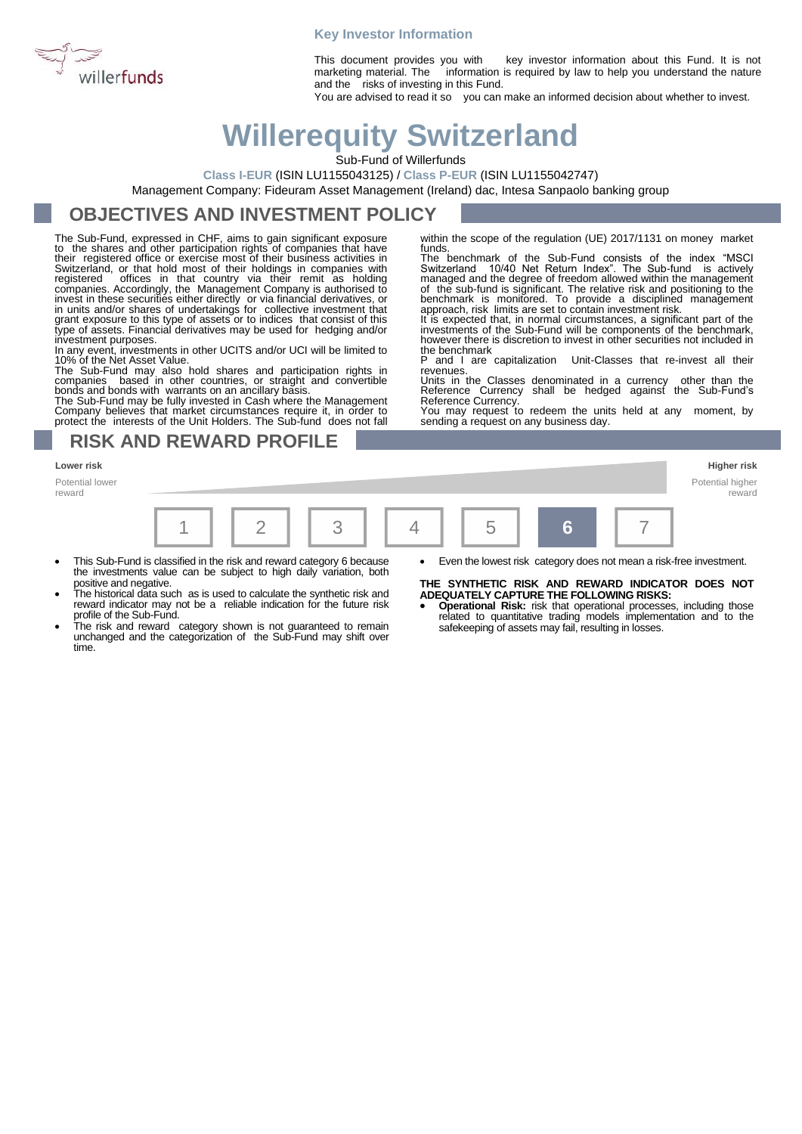

### **Key Investor Information**

This document provides you with key investor information about this Fund. It is not marketing material. The information is required by law to help you understand the nature and the risks of investing in this Fund.

You are advised to read it so you can make an informed decision about whether to invest.

# **Willerequity Switzerland**

Sub-Fund of Willerfunds

**Class I-EUR** (ISIN LU1155043125) / **Class P-EUR** (ISIN LU1155042747)

Management Company: Fideuram Asset Management (Ireland) dac, Intesa Sanpaolo banking group

# **OBJECTIVES AND INVESTMENT POLICY**

The Sub-Fund, expressed in CHF, aims to gain significant exposure to the shares and other participation rights of companies that have their registered office or exercise most of their business activities in Switzerland, or that hold most of their holdings in companies with registered offices in that country via their remit as holding companies. According investment purposes.

In any event, investments in other UCITS and/or UCI will be limited to 10% of the Net Asset Value.

The Sub-Fund may also hold shares and participation rights in<br>companies based in other countries, or straight and convertible<br>bonds and bonds with warrants on an ancillary basis.<br>The Sub-Fund may be fully invested in Cash

Company believes that market circumstances require it, in order to protect the interests of the Unit Holders. The Sub-fund does not fall

**RISK AND REWARD PROFILE**

**Lower risk Higher risk**

Potential lower reward

| $\vert 6 \vert$ |
|-----------------|
|-----------------|

- This Sub-Fund is classified in the risk and reward category 6 because the investments value can be subject to high daily variation, both positive and negative.
- The historical data such as is used to calculate the synthetic risk and reward indicator may not be a reliable indication for the future risk profile of the Sub-Fund.
- The risk and reward category shown is not guaranteed to remain unchanged and the categorization of the Sub-Fund may shift over time.

within the scope of the regulation (UE) 2017/1131 on money market funds.

The benchmark of the Sub-Fund consists of the index "MSCI Switzerland 10/40 Net Return Index". The Sub-fund is actively managed and the degree of freedom allowed within the management of the sub-fund is significant. The relative risk and positioning to the benchmark is monitored. To provide a disciplined management approach, risk limits are set to contain investment risk.

It is expected that, in normal circumstances, a significant part of the investments of the Sub-Fund will be components of the benchmark, however there is discretion to invest in other securities not included in

the benchmark P and I are capitalization Unit-Classes that re-invest all their revenues.

Units in the Classes denominated in a currency other than the Reference Currency shall be hedged against the Sub-Fund's Reference Currency.

You may request to redeem the units held at any moment, by sending a request on any business day.

> Potential higher reward

• Even the lowest risk category does not mean a risk-free investment.

**THE SYNTHETIC RISK AND REWARD INDICATOR DOES NOT ADEQUATELY CAPTURE THE FOLLOWING RISKS:**

• **Operational Risk:** risk that operational processes, including those related to quantitative trading models implementation and to the safekeeping of assets may fail, resulting in losses.